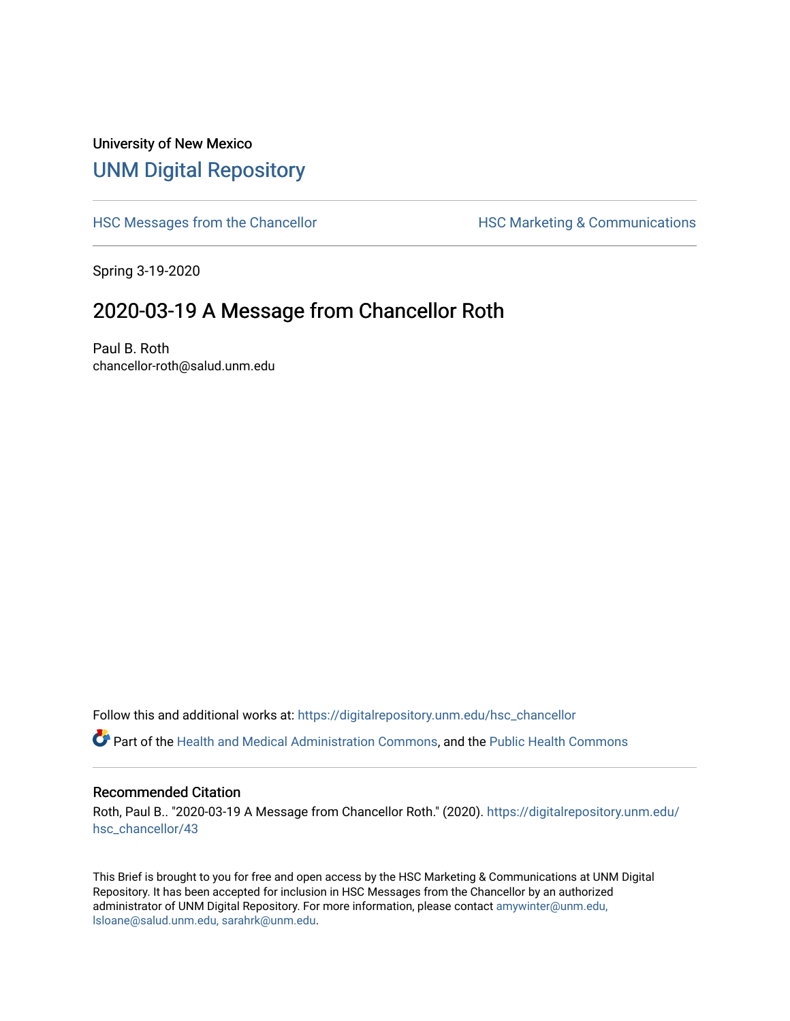## University of New Mexico [UNM Digital Repository](https://digitalrepository.unm.edu/)

[HSC Messages from the Chancellor](https://digitalrepository.unm.edu/hsc_chancellor) **HSC Marketing & Communications** 

Spring 3-19-2020

## 2020-03-19 A Message from Chancellor Roth

Paul B. Roth chancellor-roth@salud.unm.edu

Follow this and additional works at: [https://digitalrepository.unm.edu/hsc\\_chancellor](https://digitalrepository.unm.edu/hsc_chancellor?utm_source=digitalrepository.unm.edu%2Fhsc_chancellor%2F43&utm_medium=PDF&utm_campaign=PDFCoverPages) 

Part of the [Health and Medical Administration Commons](http://network.bepress.com/hgg/discipline/663?utm_source=digitalrepository.unm.edu%2Fhsc_chancellor%2F43&utm_medium=PDF&utm_campaign=PDFCoverPages), and the [Public Health Commons](http://network.bepress.com/hgg/discipline/738?utm_source=digitalrepository.unm.edu%2Fhsc_chancellor%2F43&utm_medium=PDF&utm_campaign=PDFCoverPages) 

#### Recommended Citation

Roth, Paul B.. "2020-03-19 A Message from Chancellor Roth." (2020). [https://digitalrepository.unm.edu/](https://digitalrepository.unm.edu/hsc_chancellor/43?utm_source=digitalrepository.unm.edu%2Fhsc_chancellor%2F43&utm_medium=PDF&utm_campaign=PDFCoverPages) [hsc\\_chancellor/43](https://digitalrepository.unm.edu/hsc_chancellor/43?utm_source=digitalrepository.unm.edu%2Fhsc_chancellor%2F43&utm_medium=PDF&utm_campaign=PDFCoverPages) 

This Brief is brought to you for free and open access by the HSC Marketing & Communications at UNM Digital Repository. It has been accepted for inclusion in HSC Messages from the Chancellor by an authorized administrator of UNM Digital Repository. For more information, please contact [amywinter@unm.edu,](mailto:amywinter@unm.edu,%20lsloane@salud.unm.edu,%20sarahrk@unm.edu) [lsloane@salud.unm.edu, sarahrk@unm.edu.](mailto:amywinter@unm.edu,%20lsloane@salud.unm.edu,%20sarahrk@unm.edu)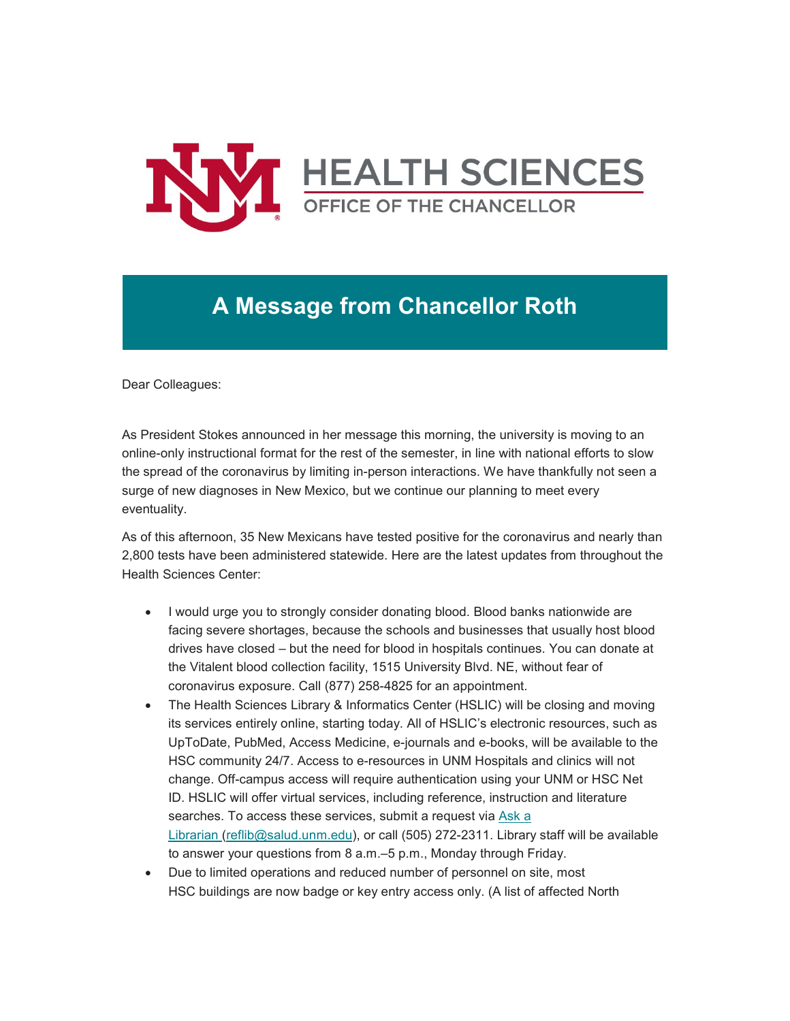

# **A Message from Chancellor Roth**

Dear Colleagues:

As President Stokes announced in her message this morning, the university is moving to an online-only instructional format for the rest of the semester, in line with national efforts to slow the spread of the coronavirus by limiting in-person interactions. We have thankfully not seen a surge of new diagnoses in New Mexico, but we continue our planning to meet every eventuality.

As of this afternoon, 35 New Mexicans have tested positive for the coronavirus and nearly than 2,800 tests have been administered statewide. Here are the latest updates from throughout the Health Sciences Center:

- I would urge you to strongly consider donating blood. Blood banks nationwide are facing severe shortages, because the schools and businesses that usually host blood drives have closed – but the need for blood in hospitals continues. You can donate at the Vitalent blood collection facility, 1515 University Blvd. NE, without fear of coronavirus exposure. Call (877) 258-4825 for an appointment.
- The Health Sciences Library & Informatics Center (HSLIC) will be closing and moving its services entirely online, starting today. All of HSLIC's electronic resources, such as UpToDate, PubMed, Access Medicine, e-journals and e-books, will be available to the HSC community 24/7. Access to e-resources in UNM Hospitals and clinics will not change. Off-campus access will require authentication using your UNM or HSC Net ID. HSLIC will offer virtual services, including reference, instruction and literature searches. To access these services, submit a request via [Ask a](https://unm.us19.list-manage.com/track/click?u=59ce53c1a4dedb490bac78648&id=0c168e9a22&e=b4bbfca2c0)  [Librarian](https://unm.us19.list-manage.com/track/click?u=59ce53c1a4dedb490bac78648&id=0c168e9a22&e=b4bbfca2c0) [\(reflib@salud.unm.edu\)](https://unm.us19.list-manage.com/track/click?u=59ce53c1a4dedb490bac78648&id=bd662a0d00&e=b4bbfca2c0), or call (505) 272-2311. Library staff will be available to answer your questions from 8 a.m.–5 p.m., Monday through Friday.
- Due to limited operations and reduced number of personnel on site, most HSC buildings are now badge or key entry access only. (A list of affected North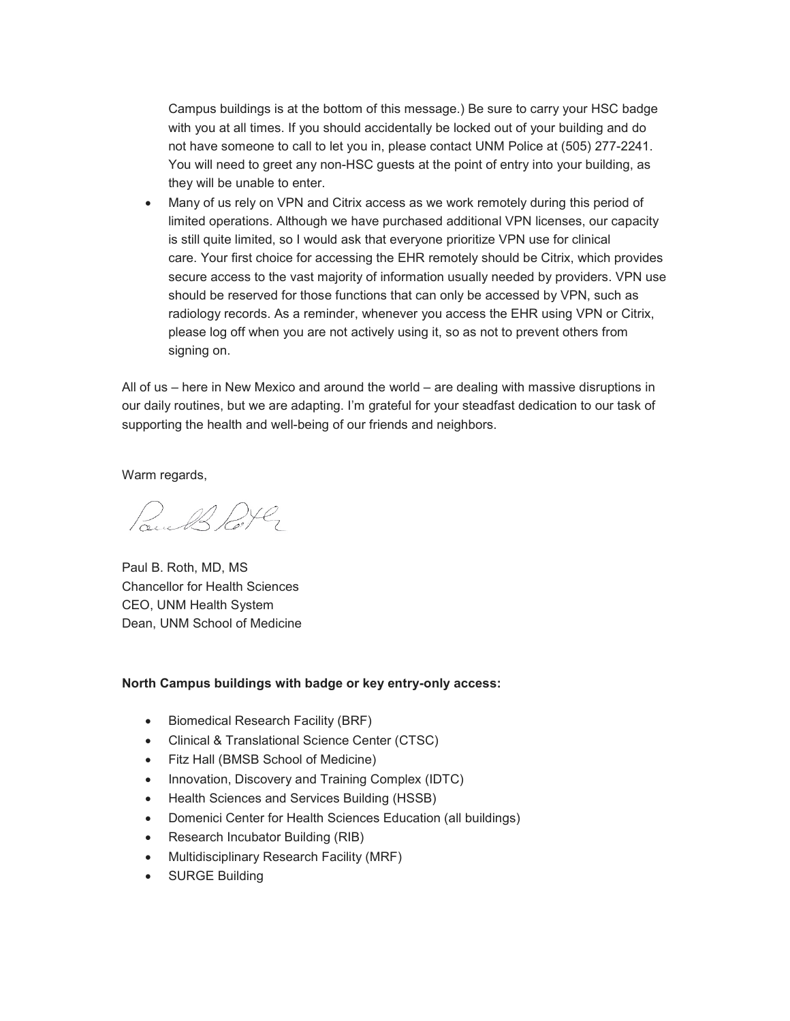Campus buildings is at the bottom of this message.) Be sure to carry your HSC badge with you at all times. If you should accidentally be locked out of your building and do not have someone to call to let you in, please contact UNM Police at (505) 277-2241. You will need to greet any non-HSC guests at the point of entry into your building, as they will be unable to enter.

• Many of us rely on VPN and Citrix access as we work remotely during this period of limited operations. Although we have purchased additional VPN licenses, our capacity is still quite limited, so I would ask that everyone prioritize VPN use for clinical care. Your first choice for accessing the EHR remotely should be Citrix, which provides secure access to the vast majority of information usually needed by providers. VPN use should be reserved for those functions that can only be accessed by VPN, such as radiology records. As a reminder, whenever you access the EHR using VPN or Citrix, please log off when you are not actively using it, so as not to prevent others from signing on.

All of us – here in New Mexico and around the world – are dealing with massive disruptions in our daily routines, but we are adapting. I'm grateful for your steadfast dedication to our task of supporting the health and well-being of our friends and neighbors.

Warm regards,

Paul Porte,

Paul B. Roth, MD, MS Chancellor for Health Sciences CEO, UNM Health System Dean, UNM School of Medicine

#### **North Campus buildings with badge or key entry-only access:**

- Biomedical Research Facility (BRF)
- Clinical & Translational Science Center (CTSC)
- Fitz Hall (BMSB School of Medicine)
- Innovation, Discovery and Training Complex (IDTC)
- Health Sciences and Services Building (HSSB)
- Domenici Center for Health Sciences Education (all buildings)
- Research Incubator Building (RIB)
- Multidisciplinary Research Facility (MRF)
- SURGE Building